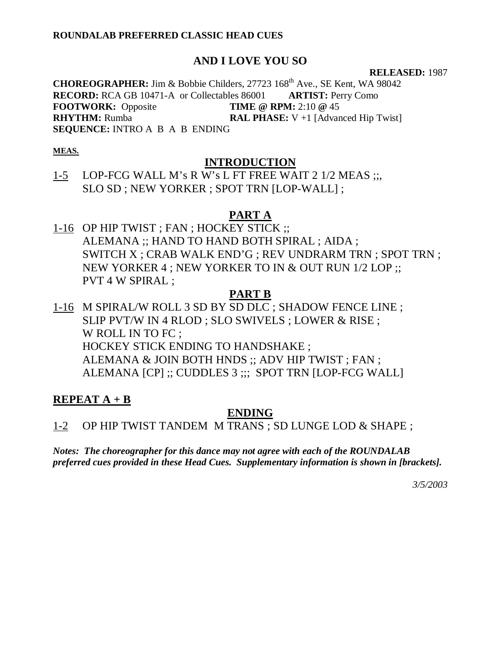### **ROUNDALAB PREFERRED CLASSIC HEAD CUES**

# **AND I LOVE YOU SO**

#### **RELEASED:** 1987

**CHOREOGRAPHER:** Jim & Bobbie Childers, 27723 168th Ave., SE Kent, WA 98042 **RECORD:** RCA GB 10471-A or Collectables 86001 **ARTIST:** Perry Como **FOOTWORK:** Opposite **TIME @ RPM:** 2:10 **@** 45 **RHYTHM:** Rumba **RAL PHASE:** V +1 [Advanced Hip Twist] **SEQUENCE:** INTRO A B A B ENDING

### **MEAS.**

## **INTRODUCTION**

1-5 LOP-FCG WALL M's R W's L FT FREE WAIT 2 1/2 MEAS ;;, SLO SD ; NEW YORKER ; SPOT TRN [LOP-WALL] ;

# **PART A**

1-16 OP HIP TWIST ; FAN ; HOCKEY STICK ;; ALEMANA ;; HAND TO HAND BOTH SPIRAL ; AIDA ; SWITCH X ; CRAB WALK END'G ; REV UNDRARM TRN ; SPOT TRN ; NEW YORKER 4 ; NEW YORKER TO IN & OUT RUN 1/2 LOP ;; PVT 4 W SPIRAL ;

# **PART B**

1-16 M SPIRAL/W ROLL 3 SD BY SD DLC ; SHADOW FENCE LINE ; SLIP PVT/W IN 4 RLOD ; SLO SWIVELS ; LOWER & RISE ; W ROLL IN TO FC ; HOCKEY STICK ENDING TO HANDSHAKE ; ALEMANA & JOIN BOTH HNDS ;; ADV HIP TWIST ; FAN ; ALEMANA [CP] ;; CUDDLES 3 ;;; SPOT TRN [LOP-FCG WALL]

# **REPEAT A + B**

# **ENDING**

1-2 OP HIP TWIST TANDEM M TRANS ; SD LUNGE LOD & SHAPE ;

*Notes: The choreographer for this dance may not agree with each of the ROUNDALAB preferred cues provided in these Head Cues. Supplementary information is shown in [brackets].*

*3/5/2003*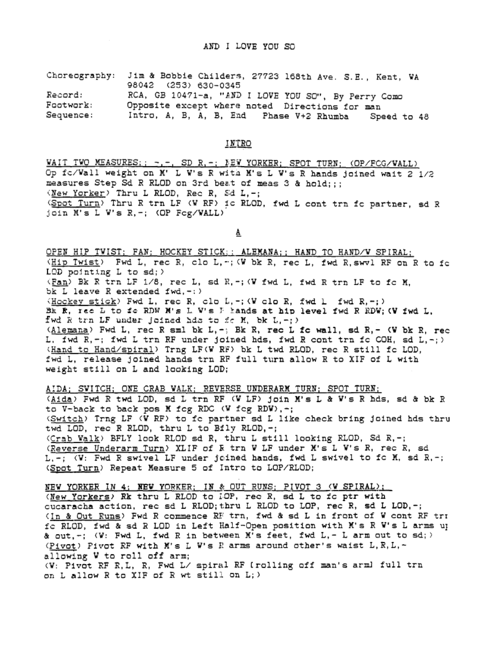Choreography: Jim & Bobbie Childers, 27723 168th Ave. S.E., Kent, WA 98042 (253) 630-0345 Record: RCA, GB 10471-a, "AND I LOVE YOU SO", By Perry Como

Opposite except where noted Directions for man Footwork: Intro, A, B, A, B, End Phase V+2 Rhumba Speed to 48 Sequence:

#### INTRO

WAIT TWO MEASURES; ; -,-, SD R,-; NEW YORKER; SPOT TURN; (OP/FCG/WALL) Op fc/Wall weight on M' L W's R with M's L W's R hands joined wait 2 1/2 measures Step Sd R RLOD on 3rd beat of meas 3 & hold;;; (New Yorker) Thru L RLOD, Rec R, Sd L,-; (Spot Turn) Thru R trn LF (W RF) ic RLOD, fwd L cont trn fc partner, sd R join M's L W's R, -; (OP Fog/WALL)

≜

OPEN HIP TWIST; FAN; HOCKEY STICK;; ALEMANA;; HAND TO HAND/W SPIRAL; (Hip Twist) Fwd L, rec R, clo L, -; (W bk R, rec L, fwd R, swyl RF on R to fo LOD pointing  $L$  to  $sd;$ ) (Fan) Bk R trn LF 1/8, rec L, sd R, -; (W fwd L, fwd R trn LF to fc M, bk L leave R extended  $fwd, -$ : ) (Hockey stick) Fwd L, rec R, clo L, -; (W clo R, fwd L fwd R, -; ) Bk R, rec L to fo RDW M's L W's F hands at hip level fwd R RDW; (W fwd L, fwd R trn LF under joined hda to fo M, bk L,-;) (Alemana) Fwd L, rec R sml bk L,-; Bk R, rec L fc wall, sd R,- (W bk R, rec L. fwd R,-; fwd L trn RF under joined hds, fwd R cont trn fc COH, sd L,-;) (Hand to Hand/spiral) Trng LF(W RF) bk L twd RLOD, rec R still fc LOD, fwd L, release joined hands trn RF full turn allow R to XIF of L with weight still on L and looking LOD;

AIDA; SWITCH; ONE CRAB WALK; REVERSE UNDERARM TURN; SPOT TURN; (Aida) Fwd R twd LOD, sd L trn RF (W LF) join M's L & W's R hds, sd & bk R to V-back to back pos M fcg RDC (W fcg RDW),-; (Switch) Trng LF (V RF) to fo partner sd L like check bring joined hds thru twd LOD, rec R RLOD, thru L to Bfly RLOD, -; (Crab Walk) BFLY look RLOD sd R, thru L still looking RLOD, Sd R,-; (Reverse Underarm Turn) XLIF of R trn W LF under M's L W's R, rec R, sd L,-; (W: Fwd R swivel LF under joined hands, fwd L swivel to fo M, sd R,-; (Spot Turn) Repeat Measure 5 of Intro to LOP/RLOD;

NEW YORKER IN 4: NEW YORKER; IN 8: OUT RUNS; PIVOT 3 (W SPIRAL); (New Yorkers) Rk thru L RLOD to IOP, rec R, sd L to fo ptr with cucaracha action, rec sd L RLOD; thru L RLOD to LOP, rec R, sd L LOD, -; (In & Out Runs) Fwd R commence RE trn, fwd & sd L in front of W cont RF tri fo RLOD, fwd & sd R LOD in Left Half-Open position with M's R W's L arms up & out,-; (W: Fwd L, fwd R in between M's feet, fwd L,- L arm out to sd; ) (Pivot) Pivot RF with M's L W's R arms around other's waist L, R, L, ~ allowing W to roll off arm; (W: Pivot RF R, L, R, Fwd L/ spiral RF (rolling off man's arml full trn on L allow R to XIF of R wt still on L;)